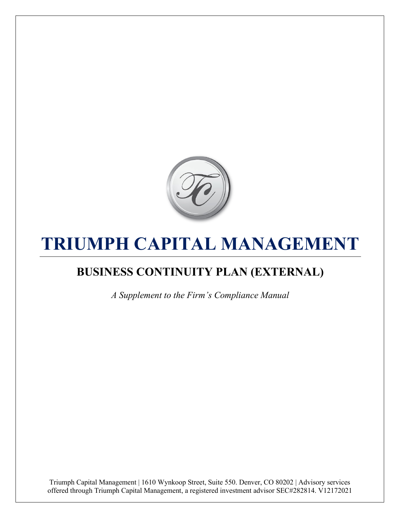

# **TRIUMPH CAPITAL MANAGEMENT**

# **BUSINESS CONTINUITY PLAN (EXTERNAL)**

*A Supplement to the Firm's Compliance Manual*

Triumph Capital Management | 1610 Wynkoop Street, Suite 550. Denver, CO 80202 | Advisory services offered through Triumph Capital Management, a registered investment advisor SEC#282814. V12172021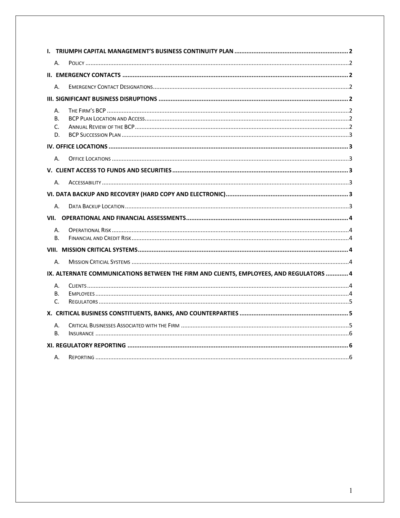| А.                                                                                      |  |  |
|-----------------------------------------------------------------------------------------|--|--|
|                                                                                         |  |  |
| А.                                                                                      |  |  |
|                                                                                         |  |  |
| А.<br>B.<br>C.<br>D.                                                                    |  |  |
|                                                                                         |  |  |
| А.                                                                                      |  |  |
|                                                                                         |  |  |
| А.                                                                                      |  |  |
|                                                                                         |  |  |
| А.                                                                                      |  |  |
|                                                                                         |  |  |
| А.<br>В.                                                                                |  |  |
|                                                                                         |  |  |
| Α.                                                                                      |  |  |
| IX. ALTERNATE COMMUNICATIONS BETWEEN THE FIRM AND CLIENTS, EMPLOYEES, AND REGULATORS  4 |  |  |
| А.<br>В.<br>C.                                                                          |  |  |
|                                                                                         |  |  |
| А.<br>В.                                                                                |  |  |
|                                                                                         |  |  |
| А.                                                                                      |  |  |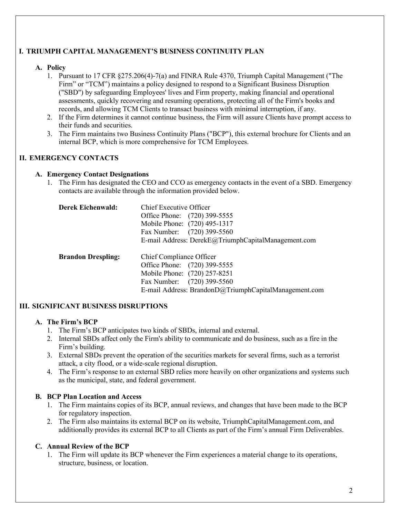## **I. TRIUMPH CAPITAL MANAGEMENT'S BUSINESS CONTINUITY PLAN**

#### **A. Policy**

- 1. Pursuant to 17 CFR §275.206(4)-7(a) and FINRA Rule 4370, Triumph Capital Management ("The Firm" or "TCM") maintains a policy designed to respond to a Significant Business Disruption ("SBD") by safeguarding Employees' lives and Firm property, making financial and operational assessments, quickly recovering and resuming operations, protecting all of the Firm's books and records, and allowing TCM Clients to transact business with minimal interruption, if any.
- 2. If the Firm determines it cannot continue business, the Firm will assure Clients have prompt access to their funds and securities.
- 3. The Firm maintains two Business Continuity Plans ("BCP"), this external brochure for Clients and an internal BCP, which is more comprehensive for TCM Employees.

# **II. EMERGENCY CONTACTS**

#### **A. Emergency Contact Designations**

1. The Firm has designated the CEO and CCO as emergency contacts in the event of a SBD. Emergency contacts are available through the information provided below.

| Derek Eichenwald:         | Chief Executive Officer<br>Office Phone: (720) 399-5555<br>Mobile Phone: (720) 495-1317<br>Fax Number: (720) 399-5560<br>E-mail Address: DerekE@TriumphCapitalManagement.com    |
|---------------------------|---------------------------------------------------------------------------------------------------------------------------------------------------------------------------------|
| <b>Brandon Drespling:</b> | Chief Compliance Officer<br>Office Phone: (720) 399-5555<br>Mobile Phone: (720) 257-8251<br>Fax Number: (720) 399-5560<br>E-mail Address: BrandonD@TriumphCapitalManagement.com |

# **III. SIGNIFICANT BUSINESS DISRUPTIONS**

#### **A. The Firm's BCP**

- 1. The Firm's BCP anticipates two kinds of SBDs, internal and external.
- 2. Internal SBDs affect only the Firm's ability to communicate and do business, such as a fire in the Firm's building.
- 3. External SBDs prevent the operation of the securities markets for several firms, such as a terrorist attack, a city flood, or a wide-scale regional disruption.
- 4. The Firm's response to an external SBD relies more heavily on other organizations and systems such as the municipal, state, and federal government.

#### **B. BCP Plan Location and Access**

- 1. The Firm maintains copies of its BCP, annual reviews, and changes that have been made to the BCP for regulatory inspection.
- 2. The Firm also maintains its external BCP on its website, TriumphCapitalManagement.com, and additionally provides its external BCP to all Clients as part of the Firm's annual Firm Deliverables.

#### **C. Annual Review of the BCP**

1. The Firm will update its BCP whenever the Firm experiences a material change to its operations, structure, business, or location.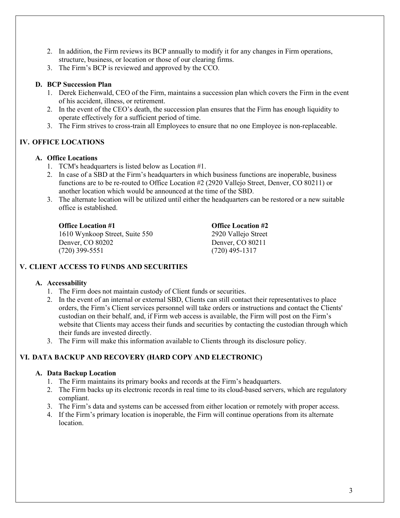- 2. In addition, the Firm reviews its BCP annually to modify it for any changes in Firm operations, structure, business, or location or those of our clearing firms.
- 3. The Firm's BCP is reviewed and approved by the CCO.

#### **D. BCP Succession Plan**

- 1. Derek Eichenwald, CEO of the Firm, maintains a succession plan which covers the Firm in the event of his accident, illness, or retirement.
- 2. In the event of the CEO's death, the succession plan ensures that the Firm has enough liquidity to operate effectively for a sufficient period of time.
- 3. The Firm strives to cross-train all Employees to ensure that no one Employee is non-replaceable.

# **IV. OFFICE LOCATIONS**

#### **A. Office Locations**

- 1. TCM's headquarters is listed below as Location #1.
- 2. In case of a SBD at the Firm's headquarters in which business functions are inoperable, business functions are to be re-routed to Office Location #2 (2920 Vallejo Street, Denver, CO 80211) or another location which would be announced at the time of the SBD.
- 3. The alternate location will be utilized until either the headquarters can be restored or a new suitable office is established.

**Office Location #1 Office Location #2** 1610 Wynkoop Street, Suite 550 2920 Vallejo Street Denver, CO 80202 Denver, CO 80211 (720) 399-5551 (720) 495-1317

#### **V. CLIENT ACCESS TO FUNDS AND SECURITIES**

#### **A. Accessability**

- 1. The Firm does not maintain custody of Client funds or securities.
- 2. In the event of an internal or external SBD, Clients can still contact their representatives to place orders, the Firm's Client services personnel will take orders or instructions and contact the Clients' custodian on their behalf, and, if Firm web access is available, the Firm will post on the Firm's website that Clients may access their funds and securities by contacting the custodian through which their funds are invested directly.
- 3. The Firm will make this information available to Clients through its disclosure policy.

#### **VI. DATA BACKUP AND RECOVERY (HARD COPY AND ELECTRONIC)**

#### **A. Data Backup Location**

- 1. The Firm maintains its primary books and records at the Firm's headquarters.
- 2. The Firm backs up its electronic records in real time to its cloud-based servers, which are regulatory compliant.
- 3. The Firm's data and systems can be accessed from either location or remotely with proper access.
- 4. If the Firm's primary location is inoperable, the Firm will continue operations from its alternate location.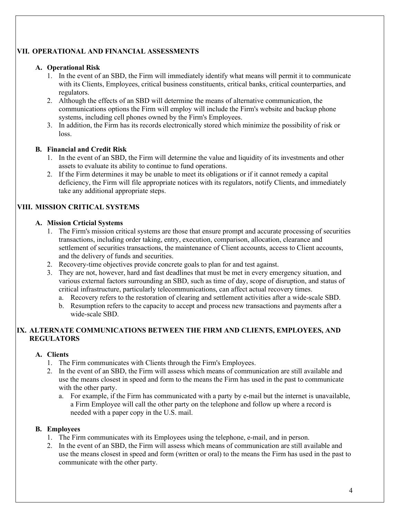# **VII. OPERATIONAL AND FINANCIAL ASSESSMENTS**

#### **A. Operational Risk**

- 1. In the event of an SBD, the Firm will immediately identify what means will permit it to communicate with its Clients, Employees, critical business constituents, critical banks, critical counterparties, and regulators.
- 2. Although the effects of an SBD will determine the means of alternative communication, the communications options the Firm will employ will include the Firm's website and backup phone systems, including cell phones owned by the Firm's Employees.
- 3. In addition, the Firm has its records electronically stored which minimize the possibility of risk or loss.

#### **B. Financial and Credit Risk**

- 1. In the event of an SBD, the Firm will determine the value and liquidity of its investments and other assets to evaluate its ability to continue to fund operations.
- 2. If the Firm determines it may be unable to meet its obligations or if it cannot remedy a capital deficiency, the Firm will file appropriate notices with its regulators, notify Clients, and immediately take any additional appropriate steps.

# **VIII. MISSION CRITICAL SYSTEMS**

#### **A. Mission Crticial Systems**

- 1. The Firm's mission critical systems are those that ensure prompt and accurate processing of securities transactions, including order taking, entry, execution, comparison, allocation, clearance and settlement of securities transactions, the maintenance of Client accounts, access to Client accounts, and the delivery of funds and securities.
- 2. Recovery-time objectives provide concrete goals to plan for and test against.
- 3. They are not, however, hard and fast deadlines that must be met in every emergency situation, and various external factors surrounding an SBD, such as time of day, scope of disruption, and status of critical infrastructure, particularly telecommunications, can affect actual recovery times.
	- a. Recovery refers to the restoration of clearing and settlement activities after a wide-scale SBD.
	- b. Resumption refers to the capacity to accept and process new transactions and payments after a wide-scale SBD.

#### **IX. ALTERNATE COMMUNICATIONS BETWEEN THE FIRM AND CLIENTS, EMPLOYEES, AND REGULATORS**

#### **A. Clients**

- 1. The Firm communicates with Clients through the Firm's Employees.
- 2. In the event of an SBD, the Firm will assess which means of communication are still available and use the means closest in speed and form to the means the Firm has used in the past to communicate with the other party.
	- a. For example, if the Firm has communicated with a party by e-mail but the internet is unavailable, a Firm Employee will call the other party on the telephone and follow up where a record is needed with a paper copy in the U.S. mail.

#### **B. Employees**

- 1. The Firm communicates with its Employees using the telephone, e-mail, and in person.
- 2. In the event of an SBD, the Firm will assess which means of communication are still available and use the means closest in speed and form (written or oral) to the means the Firm has used in the past to communicate with the other party.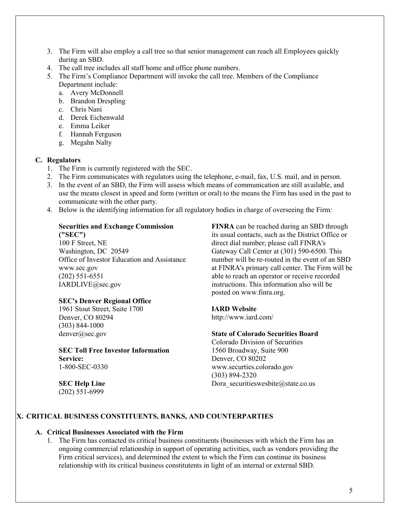- 3. The Firm will also employ a call tree so that senior management can reach all Employees quickly during an SBD.
- 4. The call tree includes all staff home and office phone numbers.
- 5. The Firm's Compliance Department will invoke the call tree. Members of the Compliance Department include:
	- a. Avery McDonnell
	- b. Brandon Drespling
	- c. Chris Nani
	- d. Derek Eichenwald
	- e. Emma Leiker
	- f. Hannah Ferguson
	- g. Megahn Nalty

#### **C. Regulators**

- 1. The Firm is currently registered with the SEC.
- 2. The Firm communicates with regulators using the telephone, e-mail, fax, U.S. mail, and in person.
- 3. In the event of an SBD, the Firm will assess which means of communication are still available, and use the means closest in speed and form (written or oral) to the means the Firm has used in the past to communicate with the other party.
- 4. Below is the identifying information for all regulatory bodies in charge of overseeing the Firm:

# **Securities and Exchange Commission**

**("SEC")** 100 F Street, NE Washington, DC 20549 Office of Investor Education and Assistance www.sec.gov (202) 551-6551 IARDLIVE@sec.gov

#### **SEC's Denver Regional Office**

1961 Stout Street, Suite 1700 Denver, CO 80294 (303) 844-1000 denver@sec.gov

**SEC Toll Free Investor Information Service:** 1-800-SEC-0330

**SEC Help Line** (202) 551-6999

**FINRA** can be reached during an SBD through its usual contacts, such as the District Office or direct dial number; please call FINRA's Gateway Call Center at (301) 590-6500. This number will be re-routed in the event of an SBD at FINRA's primary call center. The Firm will be able to reach an operator or receive recorded instructions. This information also will be posted on www.finra.org.

#### **IARD Website**

http://www.iard.com/

## **State of Colorado Securities Board**

Colorado Division of Securities 1560 Broadway, Suite 900 Denver, CO 80202 www.securties.colorado.gov (303) 894-2320 Dora securitieswesbite@state.co.us

#### **X. CRITICAL BUSINESS CONSTITUENTS, BANKS, AND COUNTERPARTIES**

#### **A. Critical Businesses Associated with the Firm**

1. The Firm has contacted its critical business constituents (businesses with which the Firm has an ongoing commercial relationship in support of operating activities, such as vendors providing the Firm critical services), and determined the extent to which the Firm can continue its business relationship with its critical business constitutents in light of an internal or external SBD.